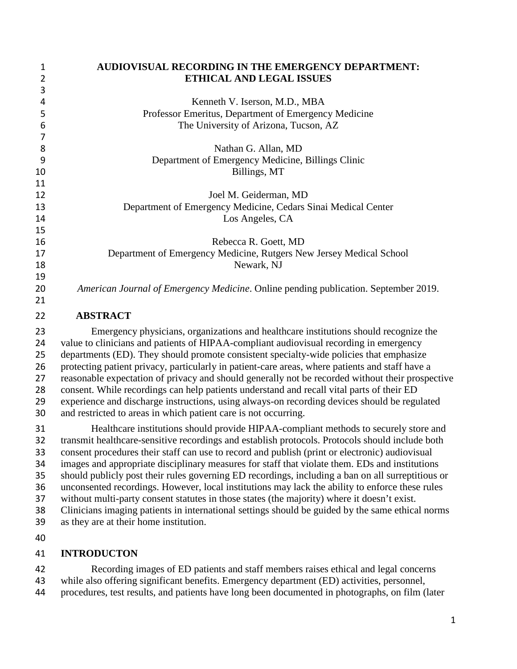| $\mathbf 1$<br>$\overline{2}$                            | <b>AUDIOVISUAL RECORDING IN THE EMERGENCY DEPARTMENT:</b><br>ETHICAL AND LEGAL ISSUES                                                                                                                                                                                                                                                                                                                                                                                                                                                                                                                                                                                                                                                                                                                                                            |
|----------------------------------------------------------|--------------------------------------------------------------------------------------------------------------------------------------------------------------------------------------------------------------------------------------------------------------------------------------------------------------------------------------------------------------------------------------------------------------------------------------------------------------------------------------------------------------------------------------------------------------------------------------------------------------------------------------------------------------------------------------------------------------------------------------------------------------------------------------------------------------------------------------------------|
| 3                                                        |                                                                                                                                                                                                                                                                                                                                                                                                                                                                                                                                                                                                                                                                                                                                                                                                                                                  |
| 4                                                        | Kenneth V. Iserson, M.D., MBA                                                                                                                                                                                                                                                                                                                                                                                                                                                                                                                                                                                                                                                                                                                                                                                                                    |
| 5                                                        | Professor Emeritus, Department of Emergency Medicine                                                                                                                                                                                                                                                                                                                                                                                                                                                                                                                                                                                                                                                                                                                                                                                             |
| 6                                                        | The University of Arizona, Tucson, AZ                                                                                                                                                                                                                                                                                                                                                                                                                                                                                                                                                                                                                                                                                                                                                                                                            |
| $\overline{7}$                                           |                                                                                                                                                                                                                                                                                                                                                                                                                                                                                                                                                                                                                                                                                                                                                                                                                                                  |
| 8                                                        | Nathan G. Allan, MD                                                                                                                                                                                                                                                                                                                                                                                                                                                                                                                                                                                                                                                                                                                                                                                                                              |
| 9                                                        | Department of Emergency Medicine, Billings Clinic                                                                                                                                                                                                                                                                                                                                                                                                                                                                                                                                                                                                                                                                                                                                                                                                |
| 10                                                       | Billings, MT                                                                                                                                                                                                                                                                                                                                                                                                                                                                                                                                                                                                                                                                                                                                                                                                                                     |
| 11                                                       |                                                                                                                                                                                                                                                                                                                                                                                                                                                                                                                                                                                                                                                                                                                                                                                                                                                  |
| 12<br>13                                                 | Joel M. Geiderman, MD                                                                                                                                                                                                                                                                                                                                                                                                                                                                                                                                                                                                                                                                                                                                                                                                                            |
| 14                                                       | Department of Emergency Medicine, Cedars Sinai Medical Center<br>Los Angeles, CA                                                                                                                                                                                                                                                                                                                                                                                                                                                                                                                                                                                                                                                                                                                                                                 |
| 15                                                       |                                                                                                                                                                                                                                                                                                                                                                                                                                                                                                                                                                                                                                                                                                                                                                                                                                                  |
| 16                                                       | Rebecca R. Goett, MD                                                                                                                                                                                                                                                                                                                                                                                                                                                                                                                                                                                                                                                                                                                                                                                                                             |
| 17                                                       | Department of Emergency Medicine, Rutgers New Jersey Medical School                                                                                                                                                                                                                                                                                                                                                                                                                                                                                                                                                                                                                                                                                                                                                                              |
| 18                                                       | Newark, NJ                                                                                                                                                                                                                                                                                                                                                                                                                                                                                                                                                                                                                                                                                                                                                                                                                                       |
| 19                                                       |                                                                                                                                                                                                                                                                                                                                                                                                                                                                                                                                                                                                                                                                                                                                                                                                                                                  |
| 20                                                       | American Journal of Emergency Medicine. Online pending publication. September 2019.                                                                                                                                                                                                                                                                                                                                                                                                                                                                                                                                                                                                                                                                                                                                                              |
| 21                                                       |                                                                                                                                                                                                                                                                                                                                                                                                                                                                                                                                                                                                                                                                                                                                                                                                                                                  |
| 22                                                       | <b>ABSTRACT</b>                                                                                                                                                                                                                                                                                                                                                                                                                                                                                                                                                                                                                                                                                                                                                                                                                                  |
| 23<br>24<br>25<br>26<br>27<br>28<br>29<br>30             | Emergency physicians, organizations and healthcare institutions should recognize the<br>value to clinicians and patients of HIPAA-compliant audiovisual recording in emergency<br>departments (ED). They should promote consistent specialty-wide policies that emphasize<br>protecting patient privacy, particularly in patient-care areas, where patients and staff have a<br>reasonable expectation of privacy and should generally not be recorded without their prospective<br>consent. While recordings can help patients understand and recall vital parts of their ED<br>experience and discharge instructions, using always-on recording devices should be regulated<br>and restricted to areas in which patient care is not occurring.                                                                                                 |
| 31<br>32<br>33<br>34<br>35<br>36<br>37<br>38<br>39<br>40 | Healthcare institutions should provide HIPAA-compliant methods to securely store and<br>transmit healthcare-sensitive recordings and establish protocols. Protocols should include both<br>consent procedures their staff can use to record and publish (print or electronic) audiovisual<br>images and appropriate disciplinary measures for staff that violate them. EDs and institutions<br>should publicly post their rules governing ED recordings, including a ban on all surreptitious or<br>unconsented recordings. However, local institutions may lack the ability to enforce these rules<br>without multi-party consent statutes in those states (the majority) where it doesn't exist.<br>Clinicians imaging patients in international settings should be guided by the same ethical norms<br>as they are at their home institution. |
| 41                                                       | <b>INTRODUCTON</b>                                                                                                                                                                                                                                                                                                                                                                                                                                                                                                                                                                                                                                                                                                                                                                                                                               |

# Recording images of ED patients and staff members raises ethical and legal concerns 43 while also offering significant benefits. Emergency department (ED) activities, personnel, procedures, test results, and patients have long been documented in photographs, on film (later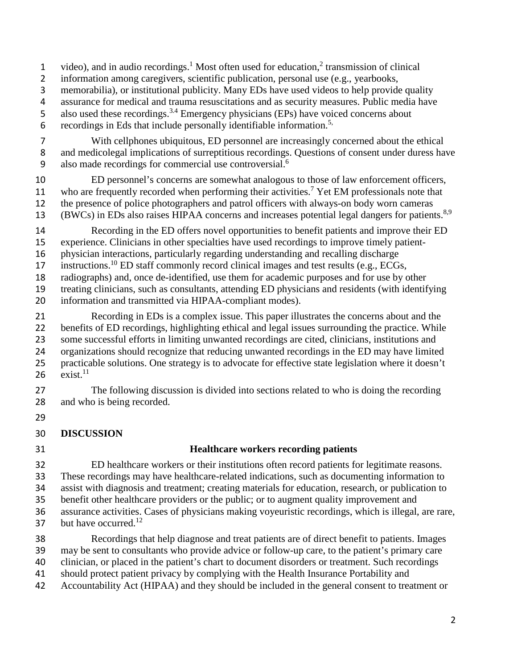- 1 video), and in audio recordings.<sup>1</sup> Most often used for education,<sup>2</sup> transmission of clinical
- information among caregivers, scientific publication, personal use (e.g., yearbooks,
- memorabilia), or institutional publicity. Many EDs have used videos to help provide quality
- assurance for medical and trauma resuscitations and as security measures. Public media have
- 5 also used these recordings.<sup>3.4</sup> Emergency physicians (EPs) have voiced concerns about
- 6 recordings in Eds that include personally identifiable information.<sup>5,</sup>
- With cellphones ubiquitous, ED personnel are increasingly concerned about the ethical and medicolegal implications of surreptitious recordings. Questions of consent under duress have 9 also made recordings for commercial use controversial.<sup>6</sup>
- ED personnel's concerns are somewhat analogous to those of law enforcement officers, 11 who are frequently recorded when performing their activities.<sup>7</sup> Yet EM professionals note that the presence of police photographers and patrol officers with always-on body worn cameras 13 (BWCs) in EDs also raises HIPAA concerns and increases potential legal dangers for patients.<sup>8,9</sup>
- Recording in the ED offers novel opportunities to benefit patients and improve their ED
- experience. Clinicians in other specialties have used recordings to improve timely patient-
- physician interactions, particularly regarding understanding and recalling discharge
- 17 instructions.<sup>10</sup> ED staff commonly record clinical images and test results (e.g., ECGs,
- radiographs) and, once de-identified, use them for academic purposes and for use by other
- treating clinicians, such as consultants, attending ED physicians and residents (with identifying information and transmitted via HIPAA-compliant modes).
- Recording in EDs is a complex issue. This paper illustrates the concerns about and the benefits of ED recordings, highlighting ethical and legal issues surrounding the practice. While some successful efforts in limiting unwanted recordings are cited, clinicians, institutions and organizations should recognize that reducing unwanted recordings in the ED may have limited practicable solutions. One strategy is to advocate for effective state legislation where it doesn't 26  $exist.<sup>11</sup>$
- The following discussion is divided into sections related to who is doing the recording and who is being recorded.
- 

## **DISCUSSION**

## **Healthcare workers recording patients**

- ED healthcare workers or their institutions often record patients for legitimate reasons. These recordings may have healthcare-related indications, such as documenting information to assist with diagnosis and treatment; creating materials for education, research, or publication to
- benefit other healthcare providers or the public; or to augment quality improvement and
- assurance activities. Cases of physicians making voyeuristic recordings, which is illegal, are rare, 37 but have occurred. $^{12}$
- Recordings that help diagnose and treat patients are of direct benefit to patients. Images may be sent to consultants who provide advice or follow-up care, to the patient's primary care clinician, or placed in the patient's chart to document disorders or treatment. Such recordings should protect patient privacy by complying with the Health Insurance Portability and Accountability Act (HIPAA) and they should be included in the general consent to treatment or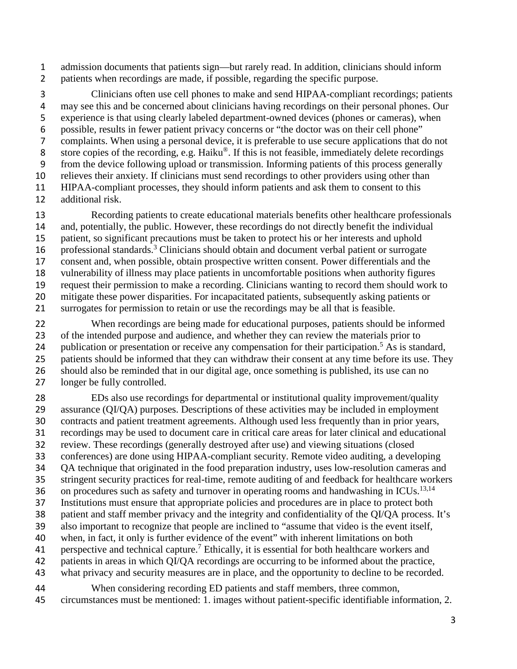admission documents that patients sign—but rarely read. In addition, clinicians should inform patients when recordings are made, if possible, regarding the specific purpose.

 Clinicians often use cell phones to make and send HIPAA-compliant recordings; patients may see this and be concerned about clinicians having recordings on their personal phones. Our experience is that using clearly labeled department-owned devices (phones or cameras), when possible, results in fewer patient privacy concerns or "the doctor was on their cell phone" complaints. When using a personal device, it is preferable to use secure applications that do not 8 store copies of the recording, e.g. Haiku $^{\circledR}$ . If this is not feasible, immediately delete recordings from the device following upload or transmission. Informing patients of this process generally relieves their anxiety. If clinicians must send recordings to other providers using other than HIPAA-compliant processes, they should inform patients and ask them to consent to this additional risk.

 Recording patients to create educational materials benefits other healthcare professionals and, potentially, the public. However, these recordings do not directly benefit the individual patient, so significant precautions must be taken to protect his or her interests and uphold 16 professional standards.<sup>3</sup> Clinicians should obtain and document verbal patient or surrogate consent and, when possible, obtain prospective written consent. Power differentials and the vulnerability of illness may place patients in uncomfortable positions when authority figures request their permission to make a recording. Clinicians wanting to record them should work to mitigate these power disparities. For incapacitated patients, subsequently asking patients or surrogates for permission to retain or use the recordings may be all that is feasible.

 When recordings are being made for educational purposes, patients should be informed of the intended purpose and audience, and whether they can review the materials prior to 24 publication or presentation or receive any compensation for their participation.<sup>5</sup> As is standard, patients should be informed that they can withdraw their consent at any time before its use. They should also be reminded that in our digital age, once something is published, its use can no longer be fully controlled.

 EDs also use recordings for departmental or institutional quality improvement/quality assurance (QI/QA) purposes. Descriptions of these activities may be included in employment contracts and patient treatment agreements. Although used less frequently than in prior years, recordings may be used to document care in critical care areas for later clinical and educational review. These recordings (generally destroyed after use) and viewing situations (closed conferences) are done using HIPAA-compliant security. Remote video auditing, a developing QA technique that originated in the food preparation industry, uses low-resolution cameras and stringent security practices for real-time, remote auditing of and feedback for healthcare workers 36 on procedures such as safety and turnover in operating rooms and handwashing in ICUs.<sup>13,14</sup> Institutions must ensure that appropriate policies and procedures are in place to protect both patient and staff member privacy and the integrity and confidentiality of the QI/QA process. It's also important to recognize that people are inclined to "assume that video is the event itself, when, in fact, it only is further evidence of the event" with inherent limitations on both 41 perspective and technical capture.<sup>7</sup> Ethically, it is essential for both healthcare workers and patients in areas in which QI/QA recordings are occurring to be informed about the practice, what privacy and security measures are in place, and the opportunity to decline to be recorded. When considering recording ED patients and staff members, three common,

circumstances must be mentioned: 1. images without patient-specific identifiable information, 2.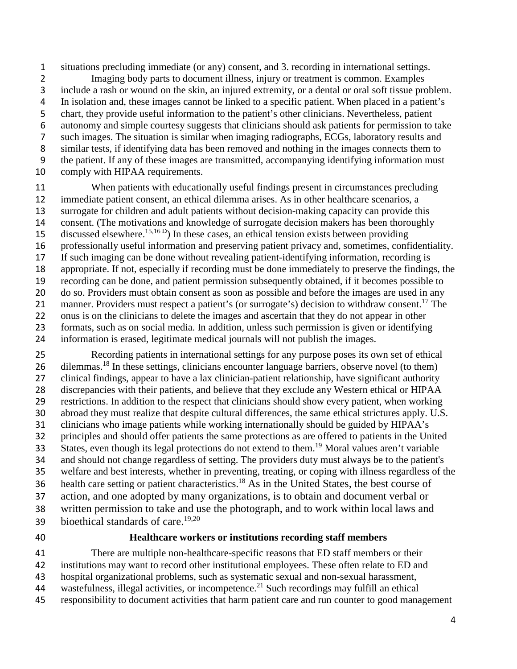situations precluding immediate (or any) consent, and 3. recording in international settings. Imaging body parts to document illness, injury or treatment is common. Examples include a rash or wound on the skin, an injured extremity, or a dental or oral soft tissue problem. In isolation and, these images cannot be linked to a specific patient. When placed in a patient's chart, they provide useful information to the patient's other clinicians. Nevertheless, patient autonomy and simple courtesy suggests that clinicians should ask patients for permission to take such images. The situation is similar when imaging radiographs, ECGs, laboratory results and similar tests, if identifying data has been removed and nothing in the images connects them to the patient. If any of these images are transmitted, accompanying identifying information must comply with HIPAA requirements.

 When patients with educationally useful findings present in circumstances precluding immediate patient consent, an ethical dilemma arises. As in other healthcare scenarios, a surrogate for children and adult patients without decision-making capacity can provide this consent. (The motivations and knowledge of surrogate decision makers has been thoroughly 15 discussed elsewhere.<sup>15,16 D</sup>) In these cases, an ethical tension exists between providing professionally useful information and preserving patient privacy and, sometimes, confidentiality. If such imaging can be done without revealing patient-identifying information, recording is appropriate. If not, especially if recording must be done immediately to preserve the findings, the recording can be done, and patient permission subsequently obtained, if it becomes possible to do so. Providers must obtain consent as soon as possible and before the images are used in any 21 manner. Providers must respect a patient's (or surrogate's) decision to withdraw consent.<sup>17</sup> The onus is on the clinicians to delete the images and ascertain that they do not appear in other formats, such as on social media. In addition, unless such permission is given or identifying information is erased, legitimate medical journals will not publish the images.

 Recording patients in international settings for any purpose poses its own set of ethical 26 dilemmas.<sup>18</sup> In these settings, clinicians encounter language barriers, observe novel (to them) clinical findings, appear to have a lax clinician-patient relationship, have significant authority discrepancies with their patients, and believe that they exclude any Western ethical or HIPAA restrictions. In addition to the respect that clinicians should show every patient, when working abroad they must realize that despite cultural differences, the same ethical strictures apply. U.S. clinicians who image patients while working internationally should be guided by HIPAA's principles and should offer patients the same protections as are offered to patients in the United 33 States, even though its legal protections do not extend to them.<sup>19</sup> Moral values aren't variable and should not change regardless of setting. The providers duty must always be to the patient's welfare and best interests, whether in preventing, treating, or coping with illness regardless of the 36 health care setting or patient characteristics.<sup>18</sup> As in the United States, the best course of action, and one adopted by many organizations, is to obtain and document verbal or written permission to take and use the photograph, and to work within local laws and 39 bioethical standards of care.<sup>19,20</sup>

#### **Healthcare workers or institutions recording staff members**

There are multiple non-healthcare-specific reasons that ED staff members or their

institutions may want to record other institutional employees. These often relate to ED and

- hospital organizational problems, such as systematic sexual and non-sexual harassment,
- 44 wastefulness, illegal activities, or incompetence.<sup>21</sup> Such recordings may fulfill an ethical
- responsibility to document activities that harm patient care and run counter to good management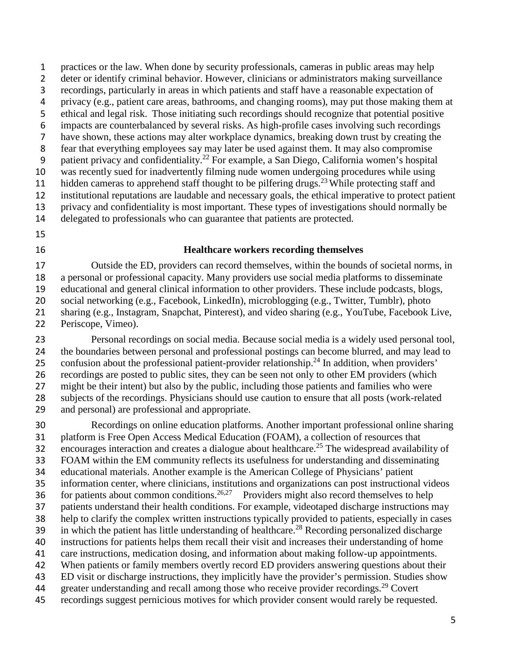practices or the law. When done by security professionals, cameras in public areas may help

deter or identify criminal behavior. However, clinicians or administrators making surveillance

 recordings, particularly in areas in which patients and staff have a reasonable expectation of privacy (e.g., patient care areas, bathrooms, and changing rooms), may put those making them at

ethical and legal risk. Those initiating such recordings should recognize that potential positive

impacts are counterbalanced by several risks. As high-profile cases involving such recordings

have shown, these actions may alter workplace dynamics, breaking down trust by creating the

fear that everything employees say may later be used against them. It may also compromise

9 patient privacy and confidentiality.<sup>22</sup> For example, a San Diego, California women's hospital

 was recently sued for inadvertently filming nude women undergoing procedures while using 11 hidden cameras to apprehend staff thought to be pilfering drugs.<sup>23</sup> While protecting staff and institutional reputations are laudable and necessary goals, the ethical imperative to protect patient

privacy and confidentiality is most important. These types of investigations should normally be

delegated to professionals who can guarantee that patients are protected.

- 
- 

#### **Healthcare workers recording themselves**

 Outside the ED, providers can record themselves, within the bounds of societal norms, in a personal or professional capacity. Many providers use social media platforms to disseminate educational and general clinical information to other providers. These include podcasts, blogs, social networking (e.g., Facebook, LinkedIn), microblogging (e.g., Twitter, Tumblr), photo sharing (e.g., Instagram, Snapchat, Pinterest), and video sharing (e.g., YouTube, Facebook Live, Periscope, Vimeo).

 Personal recordings on social media. Because social media is a widely used personal tool, the boundaries between personal and professional postings can become blurred, and may lead to 25 confusion about the professional patient-provider relationship.<sup>24</sup> In addition, when providers' recordings are posted to public sites, they can be seen not only to other EM providers (which might be their intent) but also by the public, including those patients and families who were subjects of the recordings. Physicians should use caution to ensure that all posts (work-related and personal) are professional and appropriate.

 Recordings on online education platforms. Another important professional online sharing platform is Free Open Access Medical Education (FOAM), a collection of resources that 32 encourages interaction and creates a dialogue about healthcare.<sup>25</sup> The widespread availability of FOAM within the EM community reflects its usefulness for understanding and disseminating educational materials. Another example is the American College of Physicians' patient information center, where clinicians, institutions and organizations can post instructional videos  $\frac{1}{100}$  for patients about common conditions.<sup>26,27</sup> Providers might also record themselves to help patients understand their health conditions. For example, videotaped discharge instructions may help to clarify the complex written instructions typically provided to patients, especially in cases 39 in which the patient has little understanding of healthcare.<sup>28</sup> Recording personalized discharge instructions for patients helps them recall their visit and increases their understanding of home care instructions, medication dosing, and information about making follow-up appointments. When patients or family members overtly record ED providers answering questions about their ED visit or discharge instructions, they implicitly have the provider's permission. Studies show 44 greater understanding and recall among those who receive provider recordings.<sup>29</sup> Covert recordings suggest pernicious motives for which provider consent would rarely be requested.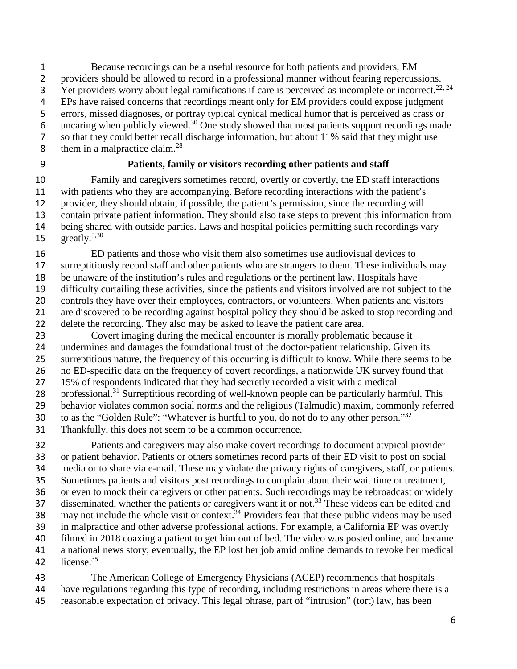Because recordings can be a useful resource for both patients and providers, EM providers should be allowed to record in a professional manner without fearing repercussions. 3 Yet providers worry about legal ramifications if care is perceived as incomplete or incorrect.<sup>22, 24</sup> EPs have raised concerns that recordings meant only for EM providers could expose judgment errors, missed diagnoses, or portray typical cynical medical humor that is perceived as crass or 6 uncaring when publicly viewed. One study showed that most patients support recordings made so that they could better recall discharge information, but about 11% said that they might use 8 them in a malpractice claim. $^{28}$ 

### **Patients, family or visitors recording other patients and staff**

 Family and caregivers sometimes record, overtly or covertly, the ED staff interactions with patients who they are accompanying. Before recording interactions with the patient's provider, they should obtain, if possible, the patient's permission, since the recording will contain private patient information. They should also take steps to prevent this information from being shared with outside parties. Laws and hospital policies permitting such recordings vary  $\text{greatlv.}^{5,30}$ 

 ED patients and those who visit them also sometimes use audiovisual devices to surreptitiously record staff and other patients who are strangers to them. These individuals may be unaware of the institution's rules and regulations or the pertinent law. Hospitals have difficulty curtailing these activities, since the patients and visitors involved are not subject to the controls they have over their employees, contractors, or volunteers. When patients and visitors are discovered to be recording against hospital policy they should be asked to stop recording and delete the recording. They also may be asked to leave the patient care area.

 Covert imaging during the medical encounter is morally problematic because it undermines and damages the foundational trust of the doctor-patient relationship. Given its surreptitious nature, the frequency of this occurring is difficult to know. While there seems to be no ED-specific data on the frequency of covert recordings, a nationwide UK survey found that 15% of respondents indicated that they had secretly recorded a visit with a medical 28 professional.<sup>31</sup> Surreptitious recording of well-known people can be particularly harmful. This behavior violates common social norms and the religious (Talmudic) maxim, commonly referred 30 to as the "Golden Rule": "Whatever is hurtful to you, do not do to any other person."<sup>32</sup>

Thankfully, this does not seem to be a common occurrence.

 Patients and caregivers may also make covert recordings to document atypical provider or patient behavior. Patients or others sometimes record parts of their ED visit to post on social media or to share via e-mail. These may violate the privacy rights of caregivers, staff, or patients. Sometimes patients and visitors post recordings to complain about their wait time or treatment, or even to mock their caregivers or other patients. Such recordings may be rebroadcast or widely disseminated, whether the patients or caregivers want it or not.<sup>33</sup> These videos can be edited and 38 may not include the whole visit or context.<sup>34</sup> Providers fear that these public videos may be used in malpractice and other adverse professional actions. For example, a California EP was overtly filmed in 2018 coaxing a patient to get him out of bed. The video was posted online, and became a national news story; eventually, the EP lost her job amid online demands to revoke her medical 42 license.

 The American College of Emergency Physicians (ACEP) recommends that hospitals have regulations regarding this type of recording, including restrictions in areas where there is a reasonable expectation of privacy. This legal phrase, part of "intrusion" (tort) law, has been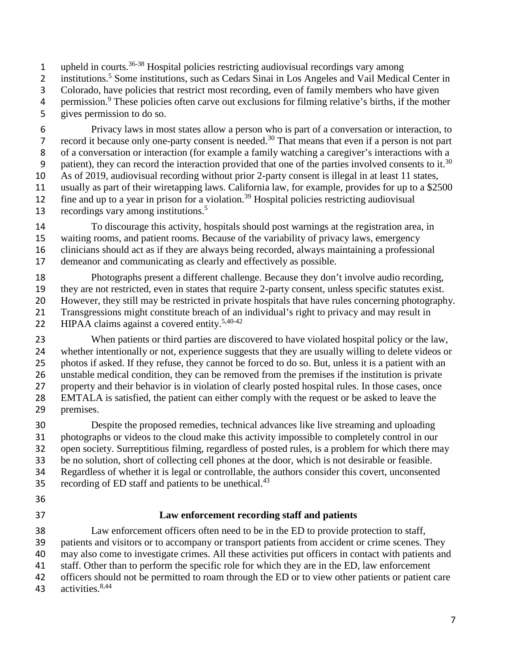- 1 upheld in courts.<sup>36-38</sup> Hospital policies restricting audiovisual recordings vary among
- 2 institutions.<sup>5</sup> Some institutions, such as Cedars Sinai in Los Angeles and Vail Medical Center in
- Colorado, have policies that restrict most recording, even of family members who have given
- 4 permission.<sup>9</sup> These policies often carve out exclusions for filming relative's births, if the mother
- gives permission to do so.

 Privacy laws in most states allow a person who is part of a conversation or interaction, to 7 record it because only one-party consent is needed.<sup>30</sup> That means that even if a person is not part of a conversation or interaction (for example a family watching a caregiver's interactions with a 9 patient), they can record the interaction provided that one of the parties involved consents to it.<sup>30</sup> As of 2019, audiovisual recording without prior 2-party consent is illegal in at least 11 states, usually as part of their wiretapping laws. California law, for example, provides for up to a \$2500 12 fine and up to a year in prison for a violation.<sup>39</sup> Hospital policies restricting audiovisual 13 recordings vary among institutions.<sup>5</sup>

 To discourage this activity, hospitals should post warnings at the registration area, in waiting rooms, and patient rooms. Because of the variability of privacy laws, emergency clinicians should act as if they are always being recorded, always maintaining a professional demeanor and communicating as clearly and effectively as possible.

 Photographs present a different challenge. Because they don't involve audio recording, they are not restricted, even in states that require 2-party consent, unless specific statutes exist. However, they still may be restricted in private hospitals that have rules concerning photography. Transgressions might constitute breach of an individual's right to privacy and may result in 22 HIPAA claims against a covered entity.<sup>5,40-42</sup>

 When patients or third parties are discovered to have violated hospital policy or the law, whether intentionally or not, experience suggests that they are usually willing to delete videos or photos if asked. If they refuse, they cannot be forced to do so. But, unless it is a patient with an unstable medical condition, they can be removed from the premises if the institution is private property and their behavior is in violation of clearly posted hospital rules. In those cases, once EMTALA is satisfied, the patient can either comply with the request or be asked to leave the premises.

 Despite the proposed remedies, technical advances like live streaming and uploading photographs or videos to the cloud make this activity impossible to completely control in our open society. Surreptitious filming, regardless of posted rules, is a problem for which there may be no solution, short of collecting cell phones at the door, which is not desirable or feasible. Regardless of whether it is legal or controllable, the authors consider this covert, unconsented 35 recording of ED staff and patients to be unethical. $^{43}$ 

- 
- 

### **Law enforcement recording staff and patients**

Law enforcement officers often need to be in the ED to provide protection to staff,

patients and visitors or to accompany or transport patients from accident or crime scenes. They

may also come to investigate crimes. All these activities put officers in contact with patients and

- staff. Other than to perform the specific role for which they are in the ED, law enforcement officers should not be permitted to roam through the ED or to view other patients or patient care
- 43 activities.<sup>8,44</sup>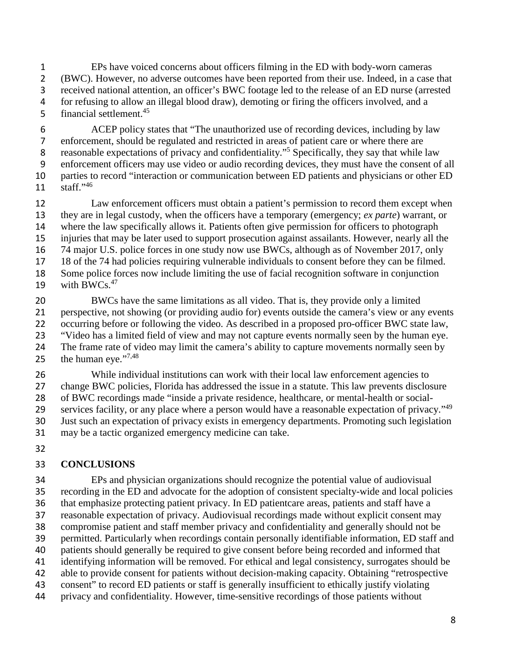EPs have voiced concerns about officers filming in the ED with body-worn cameras (BWC). However, no adverse outcomes have been reported from their use. Indeed, in a case that received national attention, an officer's BWC footage led to the release of an ED nurse (arrested for refusing to allow an illegal blood draw), demoting or firing the officers involved, and a 5 financial settlement.<sup>45</sup>

 ACEP policy states that "The unauthorized use of recording devices, including by law enforcement, should be regulated and restricted in areas of patient care or where there are 8 reasonable expectations of privacy and confidentiality."<sup>5</sup> Specifically, they say that while law enforcement officers may use video or audio recording devices, they must have the consent of all parties to record "interaction or communication between ED patients and physicians or other ED  $\text{staff}$ ."46

 Law enforcement officers must obtain a patient's permission to record them except when they are in legal custody, when the officers have a temporary (emergency; *ex parte*) warrant, or where the law specifically allows it. Patients often give permission for officers to photograph injuries that may be later used to support prosecution against assailants. However, nearly all the 74 major U.S. police forces in one study now use BWCs, although as of November 2017, only 18 of the 74 had policies requiring vulnerable individuals to consent before they can be filmed. Some police forces now include limiting the use of facial recognition software in conjunction 19 with BWCs.

 BWCs have the same limitations as all video. That is, they provide only a limited perspective, not showing (or providing audio for) events outside the camera's view or any events 22 occurring before or following the video. As described in a proposed pro-officer BWC state law, "Video has a limited field of view and may not capture events normally seen by the human eye. 24 The frame rate of video may limit the camera's ability to capture movements normally seen by 25 the human eye."<sup>7,48</sup>

 While individual institutions can work with their local law enforcement agencies to change BWC policies, Florida has addressed the issue in a statute. This law prevents disclosure of BWC recordings made "inside a private residence, healthcare, or mental-health or socialservices facility, or any place where a person would have a reasonable expectation of privacy."<sup>49</sup> Just such an expectation of privacy exists in emergency departments. Promoting such legislation may be a tactic organized emergency medicine can take.

### **CONCLUSIONS**

 EPs and physician organizations should recognize the potential value of audiovisual recording in the ED and advocate for the adoption of consistent specialty-wide and local policies that emphasize protecting patient privacy. In ED patientcare areas, patients and staff have a reasonable expectation of privacy. Audiovisual recordings made without explicit consent may compromise patient and staff member privacy and confidentiality and generally should not be permitted. Particularly when recordings contain personally identifiable information, ED staff and patients should generally be required to give consent before being recorded and informed that identifying information will be removed. For ethical and legal consistency, surrogates should be able to provide consent for patients without decision-making capacity. Obtaining "retrospective consent" to record ED patients or staff is generally insufficient to ethically justify violating privacy and confidentiality. However, time-sensitive recordings of those patients without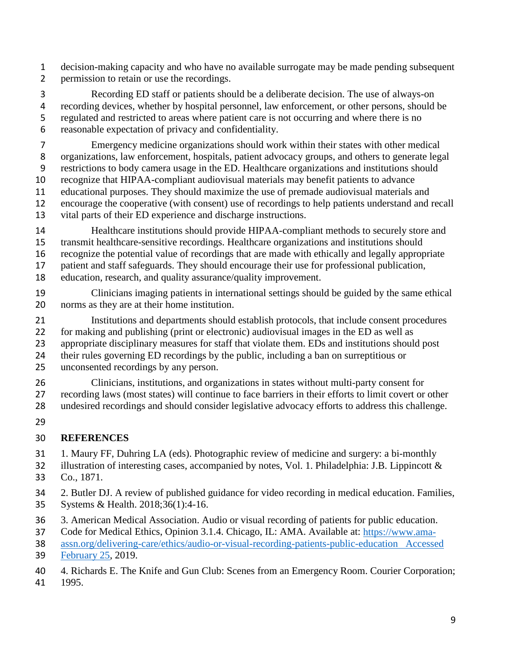decision-making capacity and who have no available surrogate may be made pending subsequent permission to retain or use the recordings.

 Recording ED staff or patients should be a deliberate decision. The use of always-on recording devices, whether by hospital personnel, law enforcement, or other persons, should be regulated and restricted to areas where patient care is not occurring and where there is no reasonable expectation of privacy and confidentiality.

 Emergency medicine organizations should work within their states with other medical organizations, law enforcement, hospitals, patient advocacy groups, and others to generate legal restrictions to body camera usage in the ED. Healthcare organizations and institutions should recognize that HIPAA-compliant audiovisual materials may benefit patients to advance educational purposes. They should maximize the use of premade audiovisual materials and encourage the cooperative (with consent) use of recordings to help patients understand and recall vital parts of their ED experience and discharge instructions.

 Healthcare institutions should provide HIPAA-compliant methods to securely store and transmit healthcare-sensitive recordings. Healthcare organizations and institutions should recognize the potential value of recordings that are made with ethically and legally appropriate patient and staff safeguards. They should encourage their use for professional publication, education, research, and quality assurance/quality improvement.

 Clinicians imaging patients in international settings should be guided by the same ethical norms as they are at their home institution.

 Institutions and departments should establish protocols, that include consent procedures for making and publishing (print or electronic) audiovisual images in the ED as well as appropriate disciplinary measures for staff that violate them. EDs and institutions should post their rules governing ED recordings by the public, including a ban on surreptitious or unconsented recordings by any person.

 Clinicians, institutions, and organizations in states without multi-party consent for recording laws (most states) will continue to face barriers in their efforts to limit covert or other undesired recordings and should consider legislative advocacy efforts to address this challenge.

## **REFERENCES**

1. Maury FF, Duhring LA (eds). Photographic review of medicine and surgery: a bi-monthly

 illustration of interesting cases, accompanied by notes, Vol. 1. Philadelphia: J.B. Lippincott & Co., 1871.

- 2. Butler DJ. A review of published guidance for video recording in medical education. Families, Systems & Health. 2018;36(1):4-16.
- 3. American Medical Association. Audio or visual recording of patients for public education.
- Code for Medical Ethics, Opinion 3.1.4. Chicago, IL: AMA. Available at: [https://www.ama-](https://www.ama-assn.org/delivering-care/ethics/audio-or-visual-recording-patients-public-education%20%20%20Accessed%20February%2025)
- [assn.org/delivering-care/ethics/audio-or-visual-recording-patients-public-education Accessed](https://www.ama-assn.org/delivering-care/ethics/audio-or-visual-recording-patients-public-education%20%20%20Accessed%20February%2025)  [February 25,](https://www.ama-assn.org/delivering-care/ethics/audio-or-visual-recording-patients-public-education%20%20%20Accessed%20February%2025) 2019.
- 4. Richards E. The Knife and Gun Club: Scenes from an Emergency Room. Courier Corporation; 1995.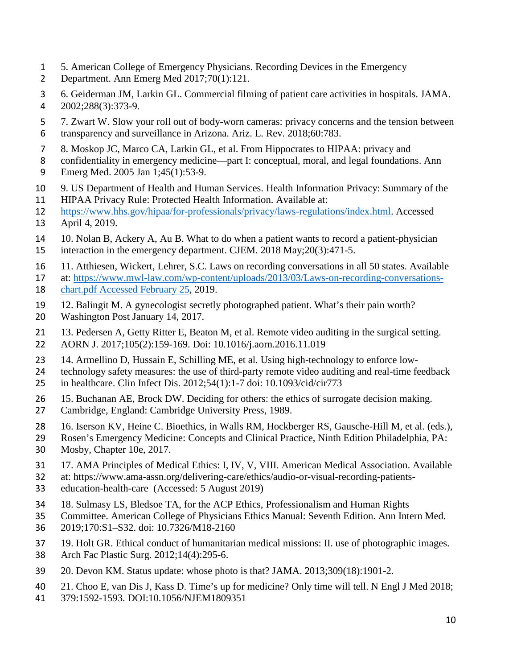- 5. American College of Emergency Physicians. Recording Devices in the Emergency
- Department. Ann Emerg Med 2017;70(1):121.
- 6. Geiderman JM, Larkin GL. Commercial filming of patient care activities in hospitals. JAMA. 2002;288(3):373-9.
- 7. Zwart W. Slow your roll out of body-worn cameras: privacy concerns and the tension between
- transparency and surveillance in Arizona. Ariz. L. Rev. 2018;60:783.
- 8. Moskop JC, Marco CA, Larkin GL, et al. From Hippocrates to HIPAA: privacy and
- confidentiality in emergency medicine—part I: conceptual, moral, and legal foundations. Ann Emerg Med. 2005 Jan 1;45(1):53-9.
- 9. US Department of Health and Human Services. Health Information Privacy: Summary of the HIPAA Privacy Rule: Protected Health Information. Available at:
- [https://www.hhs.gov/hipaa/for-professionals/privacy/laws-regulations/index.html.](https://www.hhs.gov/hipaa/for-professionals/privacy/laws-regulations/index.html) Accessed April 4, 2019.
- 10. Nolan B, Ackery A, Au B. What to do when a patient wants to record a patient-physician
- interaction in the emergency department. CJEM. 2018 May;20(3):471-5.
- 11. Atthiesen, Wickert, Lehrer, S.C. Laws on recording conversations in all 50 states. Available
- at: [https://www.mwl-law.com/wp-content/uploads/2013/03/Laws-on-recording-conversations-](https://www.mwl-law.com/wp-content/uploads/2013/03/LAWS-ON-RECORDING-CONVERSATIONS-CHART.pdf%20Accessed%20February%2025)[chart.pdf Accessed February 25,](https://www.mwl-law.com/wp-content/uploads/2013/03/LAWS-ON-RECORDING-CONVERSATIONS-CHART.pdf%20Accessed%20February%2025) 2019.
- 12. Balingit M. A gynecologist secretly photographed patient. What's their pain worth?
- Washington Post January 14, 2017.
- 13. Pedersen A, Getty Ritter E, Beaton M, et al. Remote video auditing in the surgical setting. AORN J. 2017;105(2):159-169. Doi: 10.1016/j.aorn.2016.11.019
- 14. Armellino D, Hussain E, Schilling ME, et al. Using high-technology to enforce low-
- technology safety measures: the use of third-party remote video auditing and real-time feedback
- in healthcare. Clin Infect Dis. 2012;54(1):1-7 doi: 10.1093/cid/cir773
- 15. Buchanan AE, Brock DW. Deciding for others: the ethics of surrogate decision making.
- Cambridge, England: Cambridge University Press, 1989.
- 16. Iserson KV, Heine C. Bioethics, in Walls RM, Hockberger RS, Gausche-Hill M, et al. (eds.),
- Rosen's Emergency Medicine: Concepts and Clinical Practice, Ninth Edition Philadelphia, PA: Mosby, Chapter 10e, 2017.
- 17. AMA Principles of Medical Ethics: I, IV, V, VIII. American Medical Association. Available
- at: https://www.ama-assn.org/delivering-care/ethics/audio-or-visual-recording-patients-
- education-health-care (Accessed: 5 August 2019)
- 18. Sulmasy LS, Bledsoe TA, for the ACP Ethics, Professionalism and Human Rights
- Committee. American College of Physicians Ethics Manual: Seventh Edition. Ann Intern Med.
- 2019;170:S1–S32. doi: 10.7326/M18-2160
- 19. Holt GR. Ethical conduct of humanitarian medical missions: II. use of photographic images.
- Arch Fac Plastic Surg. 2012;14(4):295-6.
- 20. Devon KM. Status update: whose photo is that? JAMA. 2013;309(18):1901-2.
- 21. Choo E, van Dis J, Kass D. Time's up for medicine? Only time will tell. N Engl J Med 2018;
- 379:1592-1593. DOI:10.1056/NJEM1809351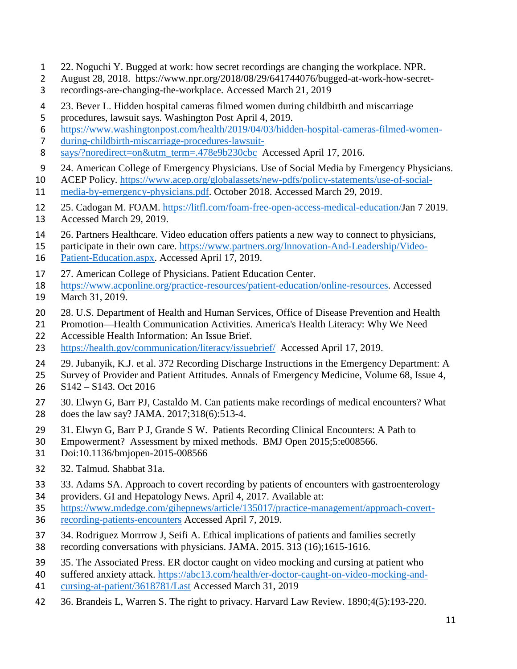- 22. Noguchi Y. Bugged at work: how secret recordings are changing the workplace. NPR.
- August 28, 2018. https://www.npr.org/2018/08/29/641744076/bugged-at-work-how-secret-
- recordings-are-changing-the-workplace. Accessed March 21, 2019
- 23. Bever L. Hidden hospital cameras filmed women during childbirth and miscarriage
- procedures, lawsuit says. Washington Post April 4, 2019.
- [https://www.washingtonpost.com/health/2019/04/03/hidden-hospital-cameras-filmed-women-](https://www.washingtonpost.com/health/2019/04/03/hidden-hospital-cameras-filmed-women-during-childbirth-miscarriage-procedures-lawsuit-says/?noredirect=on&utm_term=.478e9b230cbc)
- [during-childbirth-miscarriage-procedures-lawsuit-](https://www.washingtonpost.com/health/2019/04/03/hidden-hospital-cameras-filmed-women-during-childbirth-miscarriage-procedures-lawsuit-says/?noredirect=on&utm_term=.478e9b230cbc)
- [says/?noredirect=on&utm\\_term=.478e9b230cbc](https://www.washingtonpost.com/health/2019/04/03/hidden-hospital-cameras-filmed-women-during-childbirth-miscarriage-procedures-lawsuit-says/?noredirect=on&utm_term=.478e9b230cbc) Accessed April 17, 2016.
- 24. American College of Emergency Physicians. Use of Social Media by Emergency Physicians.
- ACEP Policy. [https://www.acep.org/globalassets/new-pdfs/policy-statements/use-of-social-](https://www.acep.org/globalassets/new-pdfs/policy-statements/use-of-social-media-by-emergency-physicians.pdf)
- [media-by-emergency-physicians.pdf.](https://www.acep.org/globalassets/new-pdfs/policy-statements/use-of-social-media-by-emergency-physicians.pdf) October 2018. Accessed March 29, 2019.
- 25. Cadogan M. FOAM. [https://litfl.com/foam-free-open-access-medical-education/J](https://litfl.com/foam-free-open-access-medical-education/)an 7 2019.
- Accessed March 29, 2019.
- 26. Partners Healthcare. Video education offers patients a new way to connect to physicians,
- participate in their own care. [https://www.partners.org/Innovation-And-Leadership/Video-](https://www.partners.org/Innovation-And-Leadership/Video-Patient-Education.aspx)
- [Patient-Education.aspx.](https://www.partners.org/Innovation-And-Leadership/Video-Patient-Education.aspx) Accessed April 17, 2019.
- 27. American College of Physicians. Patient Education Center.
- [https://www.acponline.org/practice-resources/patient-education/online-resources.](https://www.acponline.org/practice-resources/patient-education/online-resources) Accessed
- March 31, 2019.
- 28. U.S. Department of Health and Human Services, Office of Disease Prevention and Health
- Promotion—Health Communication Activities. America's Health Literacy: Why We Need
- Accessible Health Information: An Issue Brief.
- <https://health.gov/communication/literacy/issuebrief/>Accessed April 17, 2019.
- 29. Jubanyik, K.J. et al. 372 Recording Discharge Instructions in the Emergency Department: A
- Survey of Provider and Patient Attitudes. Annals of Emergency Medicine, Volume 68, Issue 4,
- S142 S143. Oct 2016
- 30. Elwyn G, Barr PJ, Castaldo M. Can patients make recordings of medical encounters? What does the law say? JAMA. 2017;318(6):513-4.
- 31. Elwyn G, Barr P J, Grande S W. Patients Recording Clinical Encounters: A Path to
- Empowerment? Assessment by mixed methods. BMJ Open 2015;5:e008566.
- Doi:10.1136/bmjopen-2015-008566
- 32. Talmud. Shabbat 31a.
- 33. Adams SA. Approach to covert recording by patients of encounters with gastroenterology
- providers. GI and Hepatology News. April 4, 2017. Available at:
- [https://www.mdedge.com/gihepnews/article/135017/practice-management/approach-covert-](https://www.mdedge.com/gihepnews/article/135017/practice-management/approach-covert-recording-patients-encounters)
- [recording-patients-encounters](https://www.mdedge.com/gihepnews/article/135017/practice-management/approach-covert-recording-patients-encounters) Accessed April 7, 2019.
- 34. Rodriguez Morrrow J, Seifi A. Ethical implications of patients and families secretly
- recording conversations with physicians. JAMA. 2015. 313 (16);1615-1616.
- 35. The Associated Press. ER doctor caught on video mocking and cursing at patient who
- suffered anxiety attack. [https://abc13.com/health/er-doctor-caught-on-video-mocking-and-](https://abc13.com/health/er-doctor-caught-on-video-mocking-and-cursing-at-patient/3618781/Last)
- [cursing-at-patient/3618781/Last](https://abc13.com/health/er-doctor-caught-on-video-mocking-and-cursing-at-patient/3618781/Last) Accessed March 31, 2019
- 36. Brandeis L, Warren S. The right to privacy. Harvard Law Review. 1890;4(5):193-220.